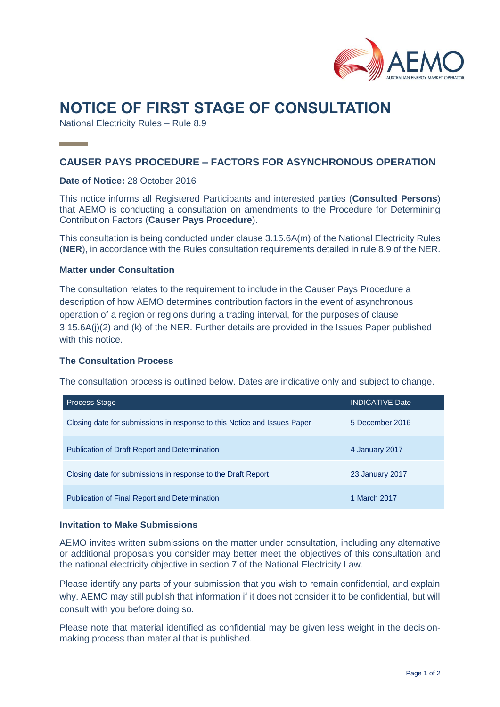

# **NOTICE OF FIRST STAGE OF CONSULTATION**

National Electricity Rules – Rule 8.9

# **CAUSER PAYS PROCEDURE – FACTORS FOR ASYNCHRONOUS OPERATION**

### **Date of Notice:** 28 October 2016

This notice informs all Registered Participants and interested parties (**Consulted Persons**) that AEMO is conducting a consultation on amendments to the Procedure for Determining Contribution Factors (**Causer Pays Procedure**).

This consultation is being conducted under clause 3.15.6A(m) of the National Electricity Rules (**NER**), in accordance with the Rules consultation requirements detailed in rule 8.9 of the NER.

#### **Matter under Consultation**

The consultation relates to the requirement to include in the Causer Pays Procedure a description of how AEMO determines contribution factors in the event of asynchronous operation of a region or regions during a trading interval, for the purposes of clause 3.15.6A(j)(2) and (k) of the NER. Further details are provided in the Issues Paper published with this notice.

#### **The Consultation Process**

The consultation process is outlined below. Dates are indicative only and subject to change.

| <b>Process Stage</b>                                                     | <b>INDICATIVE Date</b> |
|--------------------------------------------------------------------------|------------------------|
| Closing date for submissions in response to this Notice and Issues Paper | 5 December 2016        |
| <b>Publication of Draft Report and Determination</b>                     | 4 January 2017         |
| Closing date for submissions in response to the Draft Report             | 23 January 2017        |
| <b>Publication of Final Report and Determination</b>                     | 1 March 2017           |

## **Invitation to Make Submissions**

AEMO invites written submissions on the matter under consultation, including any alternative or additional proposals you consider may better meet the objectives of this consultation and the national electricity objective in section 7 of the National Electricity Law.

Please identify any parts of your submission that you wish to remain confidential, and explain why. AEMO may still publish that information if it does not consider it to be confidential, but will consult with you before doing so.

Please note that material identified as confidential may be given less weight in the decisionmaking process than material that is published.